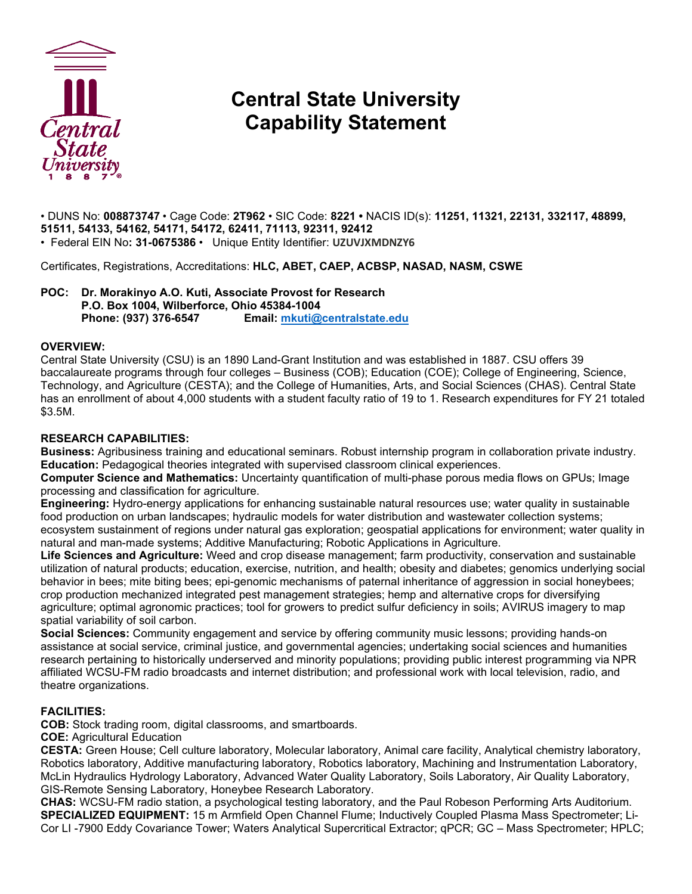

## **Central State University Capability Statement**

• DUNS No: **008873747** • Cage Code: **2T962** • SIC Code: **8221 •** NACIS ID(s): **11251, 11321, 22131, 332117, 48899, 51511, 54133, 54162, 54171, 54172, 62411, 71113, 92311, 92412** • Federal EIN No**: 31-0675386** • Unique Entity Identifier: **UZUVJXMDNZY6**

Certificates, Registrations, Accreditations: **HLC, ABET, CAEP, ACBSP, NASAD, NASM, CSWE**

**POC: Dr. Morakinyo A.O. Kuti, Associate Provost for Research P.O. Box 1004, Wilberforce, Ohio 45384-1004 Phone: (937) 376-6547 Email: [mkuti@centralstate.edu](mailto:mkuti@centralstate.edu)**

## **OVERVIEW:**

Central State University (CSU) is an 1890 Land-Grant Institution and was established in 1887. CSU offers 39 baccalaureate programs through four colleges – Business (COB); Education (COE); College of Engineering, Science, Technology, and Agriculture (CESTA); and the College of Humanities, Arts, and Social Sciences (CHAS). Central State has an enrollment of about 4,000 students with a student faculty ratio of 19 to 1. Research expenditures for FY 21 totaled \$3.5M.

## **RESEARCH CAPABILITIES:**

**Business:** Agribusiness training and educational seminars. Robust internship program in collaboration private industry. **Education:** Pedagogical theories integrated with supervised classroom clinical experiences.

**Computer Science and Mathematics:** Uncertainty quantification of multi-phase porous media flows on GPUs; Image processing and classification for agriculture.

**Engineering:** Hydro-energy applications for enhancing sustainable natural resources use; water quality in sustainable food production on urban landscapes; hydraulic models for water distribution and wastewater collection systems; ecosystem sustainment of regions under natural gas exploration; geospatial applications for environment; water quality in natural and man-made systems; Additive Manufacturing; Robotic Applications in Agriculture.

**Life Sciences and Agriculture:** Weed and crop disease management; farm productivity, conservation and sustainable utilization of natural products; education, exercise, nutrition, and health; obesity and diabetes; genomics underlying social behavior in bees; mite biting bees; epi-genomic mechanisms of paternal inheritance of aggression in social honeybees; crop production mechanized integrated pest management strategies; hemp and alternative crops for diversifying agriculture; optimal agronomic practices; tool for growers to predict sulfur deficiency in soils; AVIRUS imagery to map spatial variability of soil carbon.

**Social Sciences:** Community engagement and service by offering community music lessons; providing hands-on assistance at social service, criminal justice, and governmental agencies; undertaking social sciences and humanities research pertaining to historically underserved and minority populations; providing public interest programming via NPR affiliated WCSU-FM radio broadcasts and internet distribution; and professional work with local television, radio, and theatre organizations.

## **FACILITIES:**

**COB:** Stock trading room, digital classrooms, and smartboards.

**COE:** Agricultural Education

**CESTA:** Green House; Cell culture laboratory, Molecular laboratory, Animal care facility, Analytical chemistry laboratory, Robotics laboratory, Additive manufacturing laboratory, Robotics laboratory, Machining and Instrumentation Laboratory, McLin Hydraulics Hydrology Laboratory, Advanced Water Quality Laboratory, Soils Laboratory, Air Quality Laboratory, GIS-Remote Sensing Laboratory, Honeybee Research Laboratory.

**CHAS:** WCSU-FM radio station, a psychological testing laboratory, and the Paul Robeson Performing Arts Auditorium. **SPECIALIZED EQUIPMENT:** 15 m Armfield Open Channel Flume; Inductively Coupled Plasma Mass Spectrometer; Li-Cor LI -7900 Eddy Covariance Tower; Waters Analytical Supercritical Extractor; qPCR; GC – Mass Spectrometer; HPLC;